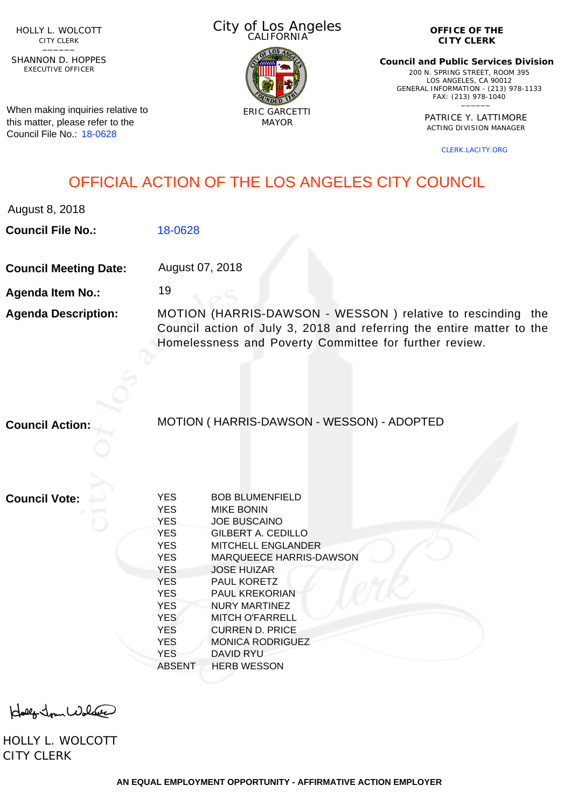HOLLY L. WOLCOTT CITY CLERK<br>—————

EXECUTIVE OFFICER SHANNON D. HOPPES

When making inquiries relative to this matter, please refer to the Council File No.: [18-0628](http://cityclerk.lacity.org/lacityclerkconnect/index.cfm?fa=ccfi.viewrecord&cfnumber=18-0628)

City of Los Angeles CALIFORNIA



**OFFICE OF THE CITY CLERK**

**Council and Public Services Division** 200 N. SPRING STREET, ROOM 395 LOS ANGELES, CA 90012 GENERAL INFORMATION - (213) 978-1133 FAX: (213) 978-1040 \_\_\_\_\_\_

> PATRICE Y. LATTIMORE ACTING DIVISION MANAGER

> > [CLERK.LACITY.ORG](http://clerk.lacity.org)

## OFFICIAL ACTION OF THE LOS ANGELES CITY COUNCIL

August 8, 2018

**Council File No.:** [18-0628](http://cityclerk.lacity.org/lacityclerkconnect/index.cfm?fa=ccfi.viewrecord&cfnumber=18-0628)

**Council Meeting Date:** August 07, 2018

19

**Agenda Item No.:**

**Agenda Description:** MOTION (HARRIS-DAWSON - WESSON ) relative to rescinding the Council action of July 3, 2018 and referring the entire matter to the Homelessness and Poverty Committee for further review.

**Council Action:**

MOTION ( HARRIS-DAWSON - WESSON) - ADOPTED

**Council Vote:**

| <b>YES</b><br><b>YES</b> | <b>BOB BLUMENFIELD</b><br><b>MIKE BONIN</b> |
|--------------------------|---------------------------------------------|
| <b>YES</b>               | <b>JOE BUSCAINO</b>                         |
| <b>YES</b>               | GILBERT A. CEDILLO                          |
| <b>YES</b>               | <b>MITCHELL ENGLANDER</b>                   |
| <b>YES</b>               | <b>MARQUEECE HARRIS-DAWSON</b>              |
|                          |                                             |
| <b>YES</b>               | <b>JOSE HUIZAR</b>                          |
| <b>YES</b>               | <b>PAUL KORETZ</b>                          |
| <b>YES</b>               | PAUL KREKORIAN                              |
| <b>YES</b>               | NURY MARTINEZ                               |
| <b>YES</b>               | MITCH O'FARRELL                             |
| <b>YES</b>               | CURREN D. PRICE                             |
| <b>YES</b>               | <b>MONICA RODRIGUEZ</b>                     |
| <b>YES</b>               | <b>DAVID RYU</b>                            |
| <b>ABSENT</b>            | <b>HERB WESSON</b>                          |
|                          |                                             |

Holly Jour Wolfer

HOLLY L. WOLCOTT CITY CLERK